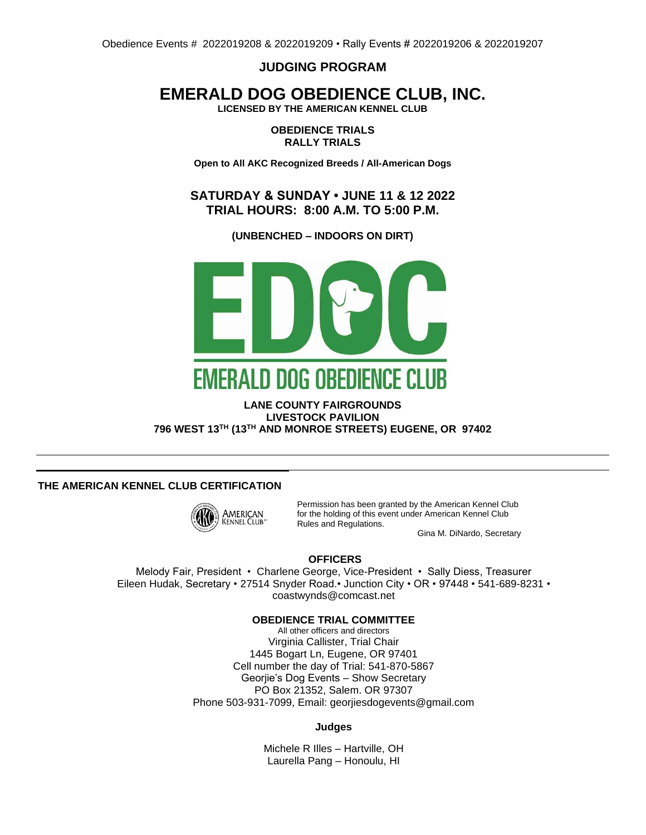**JUDGING PROGRAM**

# **EMERALD DOG OBEDIENCE CLUB, INC.**

**LICENSED BY THE AMERICAN KENNEL CLUB**

**OBEDIENCE TRIALS RALLY TRIALS**

**Open to All AKC Recognized Breeds / All-American Dogs**

**SATURDAY & SUNDAY • JUNE 11 & 12 2022 TRIAL HOURS: 8:00 A.M. TO 5:00 P.M.**

**(UNBENCHED – INDOORS ON DIRT)**



## **LANE COUNTY FAIRGROUNDS LIVESTOCK PAVILION 796 WEST 13TH (13TH AND MONROE STREETS) EUGENE, OR 97402**

## **THE AMERICAN KENNEL CLUB CERTIFICATION**



Permission has been granted by the American Kennel Club for the holding of this event under American Kennel Club Rules and Regulations.

Gina M. DiNardo, Secretary

### **OFFICERS**

Melody Fair, President • Charlene George, Vice-President • Sally Diess, Treasurer Eileen Hudak, Secretary • 27514 Snyder Road.• Junction City • OR • 97448 • 541-689-8231 • coastwynds@comcast.net

### **OBEDIENCE TRIAL COMMITTEE**

All other officers and directors Virginia Callister, Trial Chair 1445 Bogart Ln, Eugene, OR 97401 Cell number the day of Trial: 541-870-5867 Georjie's Dog Events – Show Secretary PO Box 21352, Salem. OR 97307 Phone 503-931-7099, Email: georjiesdogevents@gmail.com

#### **Judges**

Michele R Illes – Hartville, OH Laurella Pang – Honoulu, HI